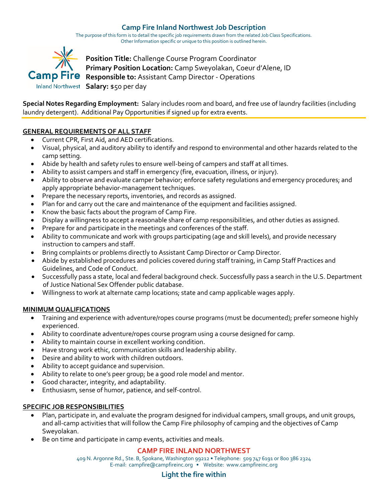# **Camp Fire Inland Northwest Job Description**

The purpose of this form is to detail the specific job requirements drawn from the related Job Class Specifications. Other Information specific or unique to this position is outlined herein.



**Position Title:** Challenge Course Program Coordinator **Primary Position Location:** Camp Sweyolakan, Coeur d'Alene, ID **Camp Fire** Responsible to: Assistant Camp Director - Operations Inland Northwest Salary: \$50 per day

**Special Notes Regarding Employment:** Salary includes room and board, and free use of laundry facilities (including laundry detergent). Additional Pay Opportunities if signed up for extra events.

## **GENERAL REQUIREMENTS OF ALL STAFF**

- Current CPR, First Aid, and AED certifications.
- Visual, physical, and auditory ability to identify and respond to environmental and other hazards related to the camp setting.
- Abide by health and safety rules to ensure well-being of campers and staff at all times.
- Ability to assist campers and staff in emergency (fire, evacuation, illness, or injury).
- Ability to observe and evaluate camper behavior; enforce safety regulations and emergency procedures; and apply appropriate behavior-management techniques.
- Prepare the necessary reports, inventories, and records as assigned.
- Plan for and carry out the care and maintenance of the equipment and facilities assigned.
- Know the basic facts about the program of Camp Fire.
- Display a willingness to accept a reasonable share of camp responsibilities, and other duties as assigned.
- Prepare for and participate in the meetings and conferences of the staff.
- Ability to communicate and work with groups participating (age and skill levels), and provide necessary instruction to campers and staff.
- Bring complaints or problems directly to Assistant Camp Director or Camp Director.
- Abide by established procedures and policies covered during staff training, in Camp Staff Practices and Guidelines, and Code of Conduct.
- Successfully pass a state, local and federal background check. Successfully pass a search in the U.S. Department of Justice National Sex Offender public database.
- Willingness to work at alternate camp locations; state and camp applicable wages apply.

### **MINIMUM QUALIFICATIONS**

- Training and experience with adventure/ropes course programs (must be documented); prefer someone highly experienced.
- Ability to coordinate adventure/ropes course program using a course designed for camp.
- Ability to maintain course in excellent working condition.
- Have strong work ethic, communication skills and leadership ability.
- Desire and ability to work with children outdoors.
- Ability to accept guidance and supervision.
- Ability to relate to one's peer group; be a good role model and mentor.
- Good character, integrity, and adaptability.
- Enthusiasm, sense of humor, patience, and self-control.

### **SPECIFIC JOB RESPONSIBILITIES**

- Plan, participate in, and evaluate the program designed for individual campers, small groups, and unit groups, and all-camp activities that will follow the Camp Fire philosophy of camping and the objectives of Camp Sweyolakan.
- Be on time and participate in camp events, activities and meals.

## **CAMP FIRE INLAND NORTHWEST**

409 N. Argonne Rd., Ste. B, Spokane, Washington 99212 • Telephone: 509 747 6191 or 800 386 2324 E-mail: campfire@campfireinc.org • Website: www.campfireinc.org

## **Light the fire within**